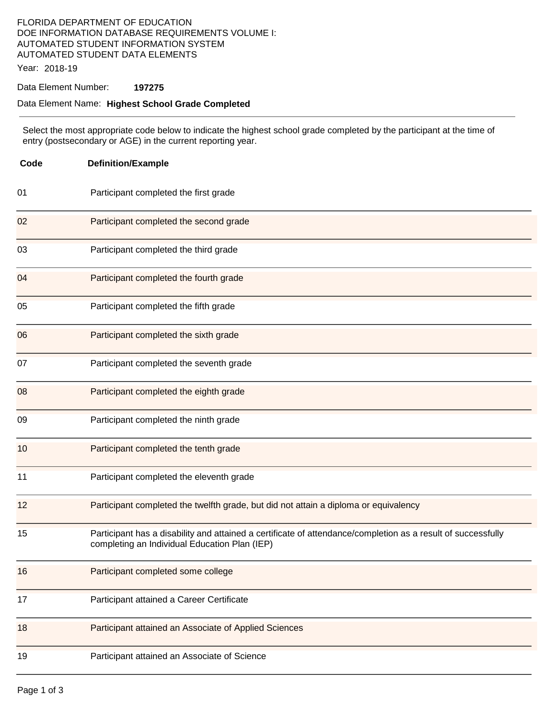## FLORIDA DEPARTMENT OF EDUCATION DOE INFORMATION DATABASE REQUIREMENTS VOLUME I: AUTOMATED STUDENT INFORMATION SYSTEM AUTOMATED STUDENT DATA ELEMENTS

Year: 2018-19

### Data Element Number: **197275**

### Data Element Name: **Highest School Grade Completed**

 Select the most appropriate code below to indicate the highest school grade completed by the participant at the time of entry (postsecondary or AGE) in the current reporting year.

| Code | <b>Definition/Example</b>                                                                                                                                     |  |  |  |
|------|---------------------------------------------------------------------------------------------------------------------------------------------------------------|--|--|--|
| 01   | Participant completed the first grade                                                                                                                         |  |  |  |
| 02   | Participant completed the second grade                                                                                                                        |  |  |  |
| 03   | Participant completed the third grade                                                                                                                         |  |  |  |
| 04   | Participant completed the fourth grade                                                                                                                        |  |  |  |
| 05   | Participant completed the fifth grade                                                                                                                         |  |  |  |
| 06   | Participant completed the sixth grade                                                                                                                         |  |  |  |
| 07   | Participant completed the seventh grade                                                                                                                       |  |  |  |
| 08   | Participant completed the eighth grade                                                                                                                        |  |  |  |
| 09   | Participant completed the ninth grade                                                                                                                         |  |  |  |
| 10   | Participant completed the tenth grade                                                                                                                         |  |  |  |
| 11   | Participant completed the eleventh grade                                                                                                                      |  |  |  |
| 12   | Participant completed the twelfth grade, but did not attain a diploma or equivalency                                                                          |  |  |  |
| 15   | Participant has a disability and attained a certificate of attendance/completion as a result of successfully<br>completing an Individual Education Plan (IEP) |  |  |  |
| 16   | Participant completed some college                                                                                                                            |  |  |  |
| 17   | Participant attained a Career Certificate                                                                                                                     |  |  |  |
| 18   | Participant attained an Associate of Applied Sciences                                                                                                         |  |  |  |
| 19   | Participant attained an Associate of Science                                                                                                                  |  |  |  |